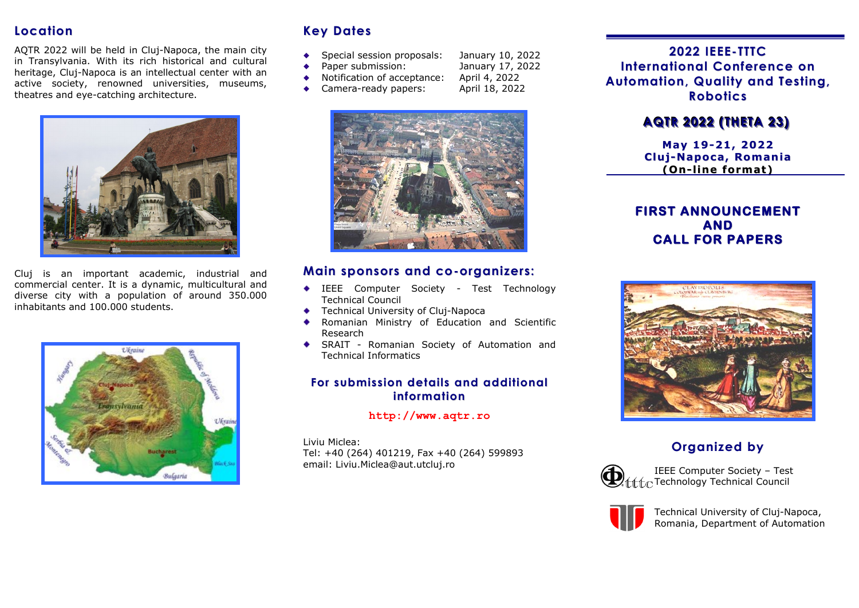## **Location**

AQTR 2022 will be held in Cluj-Napoca, the main city in Transylvania. With its rich historical and cultural heritage, Cluj-Napoca is an intellectual center with an active society, renowned universities, museums, theatres and eye-catching architecture.



Cluj is an important academic, industrial and commercial center. It is a dynamic, multicultural and diverse city with a population of around 350.000 inhabitants and 100.000 students.



# **Key Dates**

- Special session proposals: January 10, 2022
- 
- January 17, 2022<br>April 4, 2022
- Notification of acceptance: April 4, 2022<br>Camera-ready papers: April 18, 2022
- Camera-ready papers:  $\bullet$



### **Main sponsors and co-organizers:**

- IEEE Computer Society Test Technology Technical Council
- **Technical University of Cluj-Napoca**
- Romanian Ministry of Education and Scientific ٠ Research
- SRAIT Romanian Society of Automation and Technical Informatics

### **For submission details and additional information**

#### **http://www.aqtr.ro**

Liviu Miclea: Tel: +40 (264) 401219, Fax +40 (264) 599893 email: Liviu.Miclea@aut.utcluj.ro

**2022 IEEE-TTTC International Conference on Automation, Quality and Testing, Robotics**

# **AQTR 2022 (THETA 23)**

**May 19-21, 2022 Cluj-Napoca, Romania (On-line format)**

### **FIRST ANNOUNCEMENT AND CALL FOR PAPERS**



# **Organized by**



IEEE Computer Society – Test  $\mathbf{Q}$  fift  $\epsilon$  Technology Technical Council



Technical University of Cluj-Napoca, Romania, Department of Automation